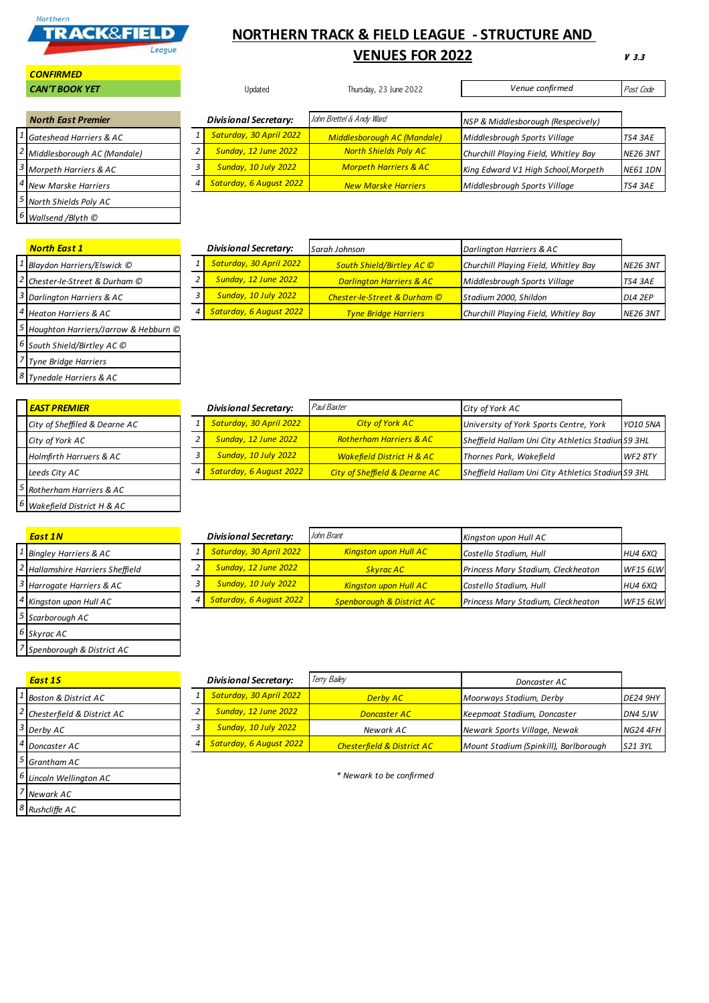

## **NORTHERN TRACK & FIELD LEAGUE - STRUCTURE AND**

## **VENUES FOR 2022**

**V 3.3**

| <b>CAN'T BOOK YET</b>                    | Updated |                              | Thursday, 23 June 2022           | Venue confirmed                      | Post Code       |
|------------------------------------------|---------|------------------------------|----------------------------------|--------------------------------------|-----------------|
|                                          |         |                              |                                  |                                      |                 |
| <b>North East Premier</b>                |         | <b>Divisional Secretary:</b> | John Brettel & Andy Ward         | NSP & Middlesborough (Respecively)   |                 |
| <sup>1</sup> Gateshead Harriers & AC     |         | Saturday, 30 April 2022      | Middlesborough AC (Mandale)      | Middlesbrough Sports Village         | <b>TS4 3AE</b>  |
| <sup>2</sup> Middlesborough AC (Mandale) |         | <b>Sunday, 12 June 2022</b>  | <b>North Shields Poly AC</b>     | Churchill Playing Field, Whitley Bay | <b>NE26 3NT</b> |
| <sup>3</sup> Morpeth Harriers & AC       |         | <b>Sunday, 10 July 2022</b>  | <b>Morpeth Harriers &amp; AC</b> | King Edward V1 High School, Morpeth  | <b>NE61 1DN</b> |
| <sup>4</sup> New Marske Harriers         | 4       | Saturday, 6 August 2022      | <b>New Marske Harriers</b>       | Middlesbrough Sports Village         | TS4 3AE         |
| 5 North Shields Poly AC                  |         |                              |                                  |                                      |                 |

|--|

 *South Shield/Birtley AC © Tyne Bridge Harriers Tynedale Harriers & AC*

*Rushcliffe AC*

*CONFIRMED*

| <b>North East 1</b>                               | <b>Divisional Secretary:</b> |                             | Sarah Johnson                       | Darlington Harriers & AC             |                 |
|---------------------------------------------------|------------------------------|-----------------------------|-------------------------------------|--------------------------------------|-----------------|
| Blaydon Harriers/Elswick ©                        |                              | Saturday, 30 April 2022     | South Shield/Birtley AC ©           | Churchill Playing Field, Whitley Bay | <b>NE26 3NT</b> |
| <sup>2</sup> Chester-le-Street & Durham ©         |                              | Sunday, 12 June 2022        | <b>Darlington Harriers &amp; AC</b> | Middlesbrough Sports Village         | TS4 3AE         |
| <sup>3</sup> Darlington Harriers & AC             |                              | <b>Sunday, 10 July 2022</b> | Chester-le-Street & Durham ©        | Stadium 2000, Shildon                | DL4 2EP         |
| <sup>4</sup> Heaton Harriers & AC                 | 4 I                          | Saturday, 6 August 2022     | <b>Tyne Bridge Harriers</b>         | Churchill Playing Field, Whitley Bay | <b>NE26 3NT</b> |
| <sup>5</sup> Houghton Harriers/Jarrow & Hebburn © |                              |                             |                                     |                                      |                 |

| <b>EAST PREMIER</b>           | <b>Divisional Secretary:</b> | Paul Baxter                              | City of York AC                                    |                 |
|-------------------------------|------------------------------|------------------------------------------|----------------------------------------------------|-----------------|
| City of Sheffiled & Dearne AC | Saturday, 30 April 2022      | <b>City of York AC</b>                   | University of York Sports Centre, York             | <b>YO10 5NA</b> |
| City of York AC               | <b>Sunday, 12 June 2022</b>  | <b>Rotherham Harriers &amp; AC</b>       | Sheffield Hallam Uni City Athletics Stadiun S9 3HL |                 |
| Holmfirth Harruers & AC       | <b>Sunday, 10 July 2022</b>  | <b>Wakefield District H &amp; AC</b>     | Thornes Park, Wakefield                            | <b>WF2 8TY</b>  |
| Leeds City AC                 | Saturday, 6 August 2022      | <b>City of Sheffield &amp; Dearne AC</b> | Sheffield Hallam Uni City Athletics Stadiun S9 3HL |                 |
| Rotherham Harriers & AC       |                              |                                          |                                                    |                 |
| Wakefield District H & AC     |                              |                                          |                                                    |                 |

| <b>East 1N</b>                   |   | <b>Divisional Secretary:</b> | John Brant                           | Kingston upon Hull AC              |                 |
|----------------------------------|---|------------------------------|--------------------------------------|------------------------------------|-----------------|
| <b>Bingley Harriers &amp; AC</b> |   | Saturday, 30 April 2022      | <b>Kingston upon Hull AC</b>         | Costello Stadium, Hull             | HU4 6XQ         |
| Hallamshire Harriers Sheffield   |   | <b>Sunday, 12 June 2022</b>  | <b>Skyrac AC</b>                     | Princess Mary Stadium, Cleckheaton | <b>WF15 6LW</b> |
| Harrogate Harriers & AC          |   | <b>Sunday, 10 July 2022</b>  | <b>Kingston upon Hull AC</b>         | Costello Stadium, Hull             | HU4 6XQ         |
| Kingston upon Hull AC            | 4 | Saturday, 6 August 2022      | <b>Spenborough &amp; District AC</b> | Princess Mary Stadium, Cleckheaton | <b>WF15 6LW</b> |
| Scarborough AC                   |   |                              |                                      |                                    |                 |
| <sup>6</sup> Skyrac AC           |   |                              |                                      |                                    |                 |
| Spenborough & District AC        |   |                              |                                      |                                    |                 |

| <b>East 1S</b>                             | Divisional Secretary:    |                             | Terry Bailey                          | Doncaster AC                          |                 |  |
|--------------------------------------------|--------------------------|-----------------------------|---------------------------------------|---------------------------------------|-----------------|--|
| <sup>1</sup> Boston & District AC          |                          | Saturday, 30 April 2022     | <b>Derby AC</b>                       | Moorways Stadium, Derby               | <b>DE24 9HY</b> |  |
| $\frac{2}{\pi}$ Chesterfield & District AC |                          | <b>Sunday, 12 June 2022</b> | <b>Doncaster AC</b>                   | Keepmoat Stadium, Doncaster           | <b>DN4 5JW</b>  |  |
| $3$ Derby AC                               |                          | <b>Sunday, 10 July 2022</b> | Newark AC                             | Newark Sports Village, Newak          | <b>NG24 4FH</b> |  |
| <sup>4</sup> Doncaster AC                  |                          | Saturday, 6 August 2022     | <b>Chesterfield &amp; District AC</b> | Mount Stadium (Spinkill), Barlborough | S21 3YL         |  |
| $5$ Grantham AC                            |                          |                             |                                       |                                       |                 |  |
| 6 Lincoln Wellington AC                    | * Newark to be confirmed |                             |                                       |                                       |                 |  |
| / Newark AC                                |                          |                             |                                       |                                       |                 |  |